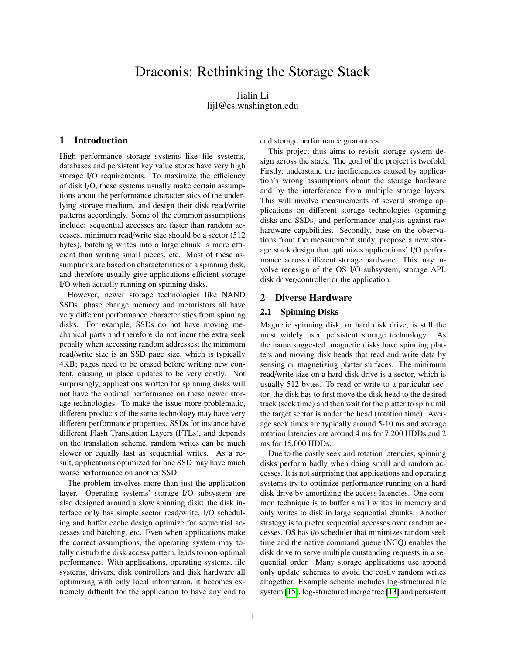# Draconis: Rethinking the Storage Stack

Jialin Li lijl@cs.washington.edu

# <span id="page-0-1"></span>1 Introduction

High performance storage systems like file systems, databases and persistent key value stores have very high storage I/O requirements. To maximize the efficiency of disk I/O, these systems usually make certain assumptions about the performance characteristics of the underlying storage medium, and design their disk read/write patterns accordingly. Some of the common assumptions include: sequential accesses are faster than random accesses, minimum read/write size should be a sector (512 bytes), batching writes into a large chunk is more efficient than writing small pieces, etc. Most of these assumptions are based on characteristics of a spinning disk, and therefore usually give applications efficient storage I/O when actually running on spinning disks.

However, newer storage technologies like NAND SSDs, phase change memory and memristors all have very different performance characteristics from spinning disks. For example, SSDs do not have moving mechanical parts and therefore do not incur the extra seek penalty when accessing random addresses; the minimum read/write size is an SSD page size, which is typically 4KB; pages need to be erased before writing new content, causing in place updates to be very costly. Not surprisingly, applications written for spinning disks will not have the optimal performance on these newer storage technologies. To make the issue more problematic, different products of the same technology may have very different performance properties. SSDs for instance have different Flash Translation Layers (FTLs), and depends on the translation scheme, random writes can be much slower or equally fast as sequential writes. As a result, applications optimized for one SSD may have much worse performance on another SSD.

The problem involves more than just the application layer. Operating systems' storage I/O subsystem are also designed around a slow spinning disk: the disk interface only has simple sector read/write, I/O scheduling and buffer cache design optimize for sequential accesses and batching, etc. Even when applications make the correct assumptions, the operating system may totally disturb the disk access pattern, leads to non-optimal performance. With applications, operating systems, file systems, drivers, disk controllers and disk hardware all optimizing with only local information, it becomes extremely difficult for the application to have any end to end storage performance guarantees.

This project thus aims to revisit storage system design across the stack. The goal of the project is twofold. Firstly, understand the inefficiencies caused by application's wrong assumptions about the storage hardware and by the interference from multiple storage layers. This will involve measurements of several storage applications on different storage technologies (spinning disks and SSDs) and performance analysis against raw hardware capabilities. Secondly, base on the observations from the measurement study, propose a new storage stack design that optimizes applications' I/O performance across different storage hardware. This may involve redesign of the OS I/O subsystem, storage API, disk driver/controller or the application.

#### <span id="page-0-0"></span>2 Diverse Hardware

#### 2.1 Spinning Disks

Magnetic spinning disk, or hard disk drive, is still the most widely used persistent storage technology. As the name suggested, magnetic disks have spinning platters and moving disk heads that read and write data by sensing or magnetizing platter surfaces. The minimum read/write size on a hard disk drive is a sector, which is usually 512 bytes. To read or write to a particular sector, the disk has to first move the disk head to the desired track (seek time) and then wait for the platter to spin until the target sector is under the head (rotation time). Average seek times are typically around 5-10 ms and average rotation latencies are around 4 ms for 7,200 HDDs and 2 ms for 15,000 HDDs.

Due to the costly seek and rotation latencies, spinning disks perform badly when doing small and random accesses. It is not surprising that applications and operating systems try to optimize performance running on a hard disk drive by amortizing the access latencies. One common technique is to buffer small writes in memory and only writes to disk in large sequential chunks. Another strategy is to prefer sequential accesses over random accesses. OS has i/o scheduler that minimizes random seek time and the native command queue (NCQ) enables the disk drive to serve multiple outstanding requests in a sequential order. Many storage applications use append only update schemes to avoid the costly random writes altogether. Example scheme includes log-structured file system [\[15\]](#page-8-0), log-structured merge tree [\[13\]](#page-8-1) and persistent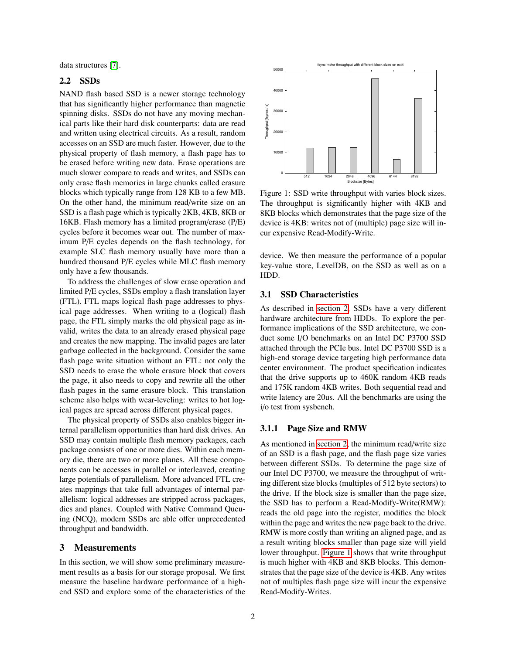data structures [\[7\]](#page-8-2).

# 2.2 SSDs

NAND flash based SSD is a newer storage technology that has significantly higher performance than magnetic spinning disks. SSDs do not have any moving mechanical parts like their hard disk counterparts: data are read and written using electrical circuits. As a result, random accesses on an SSD are much faster. However, due to the physical property of flash memory, a flash page has to be erased before writing new data. Erase operations are much slower compare to reads and writes, and SSDs can only erase flash memories in large chunks called erasure blocks which typically range from 128 KB to a few MB. On the other hand, the minimum read/write size on an SSD is a flash page which is typically 2KB, 4KB, 8KB or 16KB. Flash memory has a limited program/erase (P/E) cycles before it becomes wear out. The number of maximum P/E cycles depends on the flash technology, for example SLC flash memory usually have more than a hundred thousand P/E cycles while MLC flash memory only have a few thousands.

To address the challenges of slow erase operation and limited P/E cycles, SSDs employ a flash translation layer (FTL). FTL maps logical flash page addresses to physical page addresses. When writing to a (logical) flash page, the FTL simply marks the old physical page as invalid, writes the data to an already erased physical page and creates the new mapping. The invalid pages are later garbage collected in the background. Consider the same flash page write situation without an FTL: not only the SSD needs to erase the whole erasure block that covers the page, it also needs to copy and rewrite all the other flash pages in the same erasure block. This translation scheme also helps with wear-leveling: writes to hot logical pages are spread across different physical pages.

The physical property of SSDs also enables bigger internal parallelism opportunities than hard disk drives. An SSD may contain multiple flash memory packages, each package consists of one or more dies. Within each memory die, there are two or more planes. All these components can be accesses in parallel or interleaved, creating large potentials of parallelism. More advanced FTL creates mappings that take full advantages of internal parallelism: logical addresses are stripped across packages, dies and planes. Coupled with Native Command Queuing (NCQ), modern SSDs are able offer unprecedented throughput and bandwidth.

## 3 Measurements

In this section, we will show some preliminary measurement results as a basis for our storage proposal. We first measure the baseline hardware performance of a highend SSD and explore some of the characteristics of the

<span id="page-1-0"></span>

Figure 1: SSD write throughput with varies block sizes. The throughput is significantly higher with 4KB and 8KB blocks which demonstrates that the page size of the device is 4KB: writes not of (multiple) page size will incur expensive Read-Modify-Write.

device. We then measure the performance of a popular key-value store, LevelDB, on the SSD as well as on a HDD.

#### 3.1 SSD Characteristics

As described in [section 2,](#page-0-0) SSDs have a very different hardware architecture from HDDs. To explore the performance implications of the SSD architecture, we conduct some I/O benchmarks on an Intel DC P3700 SSD attached through the PCIe bus. Intel DC P3700 SSD is a high-end storage device targeting high performance data center environment. The product specification indicates that the drive supports up to 460K random 4KB reads and 175K random 4KB writes. Both sequential read and write latency are 20us. All the benchmarks are using the i/o test from sysbench.

#### 3.1.1 Page Size and RMW

As mentioned in [section 2,](#page-0-0) the minimum read/write size of an SSD is a flash page, and the flash page size varies between different SSDs. To determine the page size of our Intel DC P3700, we measure the throughput of writing different size blocks (multiples of 512 byte sectors) to the drive. If the block size is smaller than the page size, the SSD has to perform a Read-Modify-Write(RMW): reads the old page into the register, modifies the block within the page and writes the new page back to the drive. RMW is more costly than writing an aligned page, and as a result writing blocks smaller than page size will yield lower throughput. [Figure 1](#page-1-0) shows that write throughput is much higher with 4KB and 8KB blocks. This demonstrates that the page size of the device is 4KB. Any writes not of multiples flash page size will incur the expensive Read-Modify-Writes.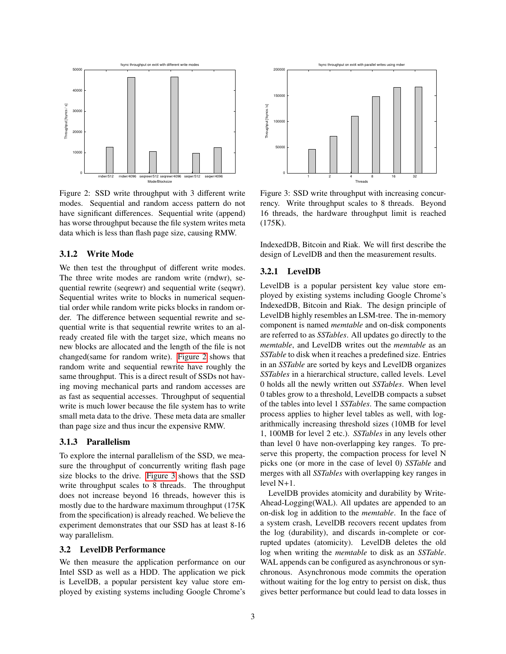<span id="page-2-0"></span>

Figure 2: SSD write throughput with 3 different write modes. Sequential and random access pattern do not have significant differences. Sequential write (append) has worse throughput because the file system writes meta data which is less than flash page size, causing RMW.

#### 3.1.2 Write Mode

We then test the throughput of different write modes. The three write modes are random write (rndwr), sequential rewrite (seqrewr) and sequential write (seqwr). Sequential writes write to blocks in numerical sequential order while random write picks blocks in random order. The difference between sequential rewrite and sequential write is that sequential rewrite writes to an already created file with the target size, which means no new blocks are allocated and the length of the file is not changed(same for random write). [Figure 2](#page-2-0) shows that random write and sequential rewrite have roughly the same throughput. This is a direct result of SSDs not having moving mechanical parts and random accesses are as fast as sequential accesses. Throughput of sequential write is much lower because the file system has to write small meta data to the drive. These meta data are smaller than page size and thus incur the expensive RMW.

### 3.1.3 Parallelism

To explore the internal parallelism of the SSD, we measure the throughput of concurrently writing flash page size blocks to the drive. [Figure 3](#page-2-1) shows that the SSD write throughput scales to 8 threads. The throughput does not increase beyond 16 threads, however this is mostly due to the hardware maximum throughput (175K from the specification) is already reached. We believe the experiment demonstrates that our SSD has at least 8-16 way parallelism.

## 3.2 LevelDB Performance

We then measure the application performance on our Intel SSD as well as a HDD. The application we pick is LevelDB, a popular persistent key value store employed by existing systems including Google Chrome's

<span id="page-2-1"></span>

Figure 3: SSD write throughput with increasing concurrency. Write throughput scales to 8 threads. Beyond 16 threads, the hardware throughput limit is reached (175K).

IndexedDB, Bitcoin and Riak. We will first describe the design of LevelDB and then the measurement results.

#### 3.2.1 LevelDB

LevelDB is a popular persistent key value store employed by existing systems including Google Chrome's IndexedDB, Bitcoin and Riak. The design principle of LevelDB highly resembles an LSM-tree. The in-memory component is named *memtable* and on-disk components are referred to as *SSTables*. All updates go directly to the *memtable*, and LevelDB writes out the *memtable* as an *SSTable* to disk when it reaches a predefined size. Entries in an *SSTable* are sorted by keys and LevelDB organizes *SSTables* in a hierarchical structure, called levels. Level 0 holds all the newly written out *SSTables*. When level 0 tables grow to a threshold, LevelDB compacts a subset of the tables into level 1 *SSTables*. The same compaction process applies to higher level tables as well, with logarithmically increasing threshold sizes (10MB for level 1, 100MB for level 2 etc.). *SSTables* in any levels other than level 0 have non-overlapping key ranges. To preserve this property, the compaction process for level N picks one (or more in the case of level 0) *SSTable* and merges with all *SSTables* with overlapping key ranges in level N+1.

LevelDB provides atomicity and durability by Write-Ahead-Logging(WAL). All updates are appended to an on-disk log in addition to the *memtable*. In the face of a system crash, LevelDB recovers recent updates from the log (durability), and discards in-complete or corrupted updates (atomicity). LevelDB deletes the old log when writing the *memtable* to disk as an *SSTable*. WAL appends can be configured as asynchronous or synchronous. Asynchronous mode commits the operation without waiting for the log entry to persist on disk, thus gives better performance but could lead to data losses in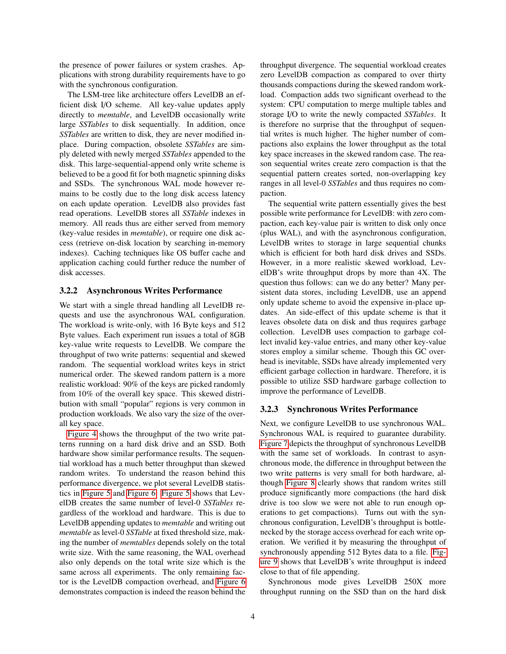the presence of power failures or system crashes. Applications with strong durability requirements have to go with the synchronous configuration.

The LSM-tree like architecture offers LevelDB an efficient disk I/O scheme. All key-value updates apply directly to *memtable*, and LevelDB occasionally write large *SSTables* to disk sequentially. In addition, once *SSTables* are written to disk, they are never modified inplace. During compaction, obsolete *SSTables* are simply deleted with newly merged *SSTables* appended to the disk. This large-sequential-append only write scheme is believed to be a good fit for both magnetic spinning disks and SSDs. The synchronous WAL mode however remains to be costly due to the long disk access latency on each update operation. LevelDB also provides fast read operations. LevelDB stores all *SSTable* indexes in memory. All reads thus are either served from memory (key-value resides in *memtable*), or require one disk access (retrieve on-disk location by searching in-memory indexes). Caching techniques like OS buffer cache and application caching could further reduce the number of disk accesses.

#### 3.2.2 Asynchronous Writes Performance

We start with a single thread handling all LevelDB requests and use the asynchronous WAL configuration. The workload is write-only, with 16 Byte keys and 512 Byte values. Each experiment run issues a total of 8GB key-value write requests to LevelDB. We compare the throughput of two write patterns: sequential and skewed random. The sequential workload writes keys in strict numerical order. The skewed random pattern is a more realistic workload: 90% of the keys are picked randomly from 10% of the overall key space. This skewed distribution with small "popular" regions is very common in production workloads. We also vary the size of the overall key space.

[Figure 4](#page-4-0) shows the throughput of the two write patterns running on a hard disk drive and an SSD. Both hardware show similar performance results. The sequential workload has a much better throughput than skewed random writes. To understand the reason behind this performance divergence, we plot several LevelDB statistics in [Figure 5](#page-4-1) and [Figure 6.](#page-4-2) [Figure 5](#page-4-1) shows that LevelDB creates the same number of level-0 *SSTables* regardless of the workload and hardware. This is due to LevelDB appending updates to *memtable* and writing out *memtable* as level-0 *SSTable* at fixed threshold size, making the number of *memtables* depends solely on the total write size. With the same reasoning, the WAL overhead also only depends on the total write size which is the same across all experiments. The only remaining factor is the LevelDB compaction overhead, and [Figure 6](#page-4-2) demonstrates compaction is indeed the reason behind the throughput divergence. The sequential workload creates zero LevelDB compaction as compared to over thirty thousands compactions during the skewed random workload. Compaction adds two significant overhead to the system: CPU computation to merge multiple tables and storage I/O to write the newly compacted *SSTables*. It is therefore no surprise that the throughput of sequential writes is much higher. The higher number of compactions also explains the lower throughput as the total key space increases in the skewed random case. The reason sequential writes create zero compaction is that the sequential pattern creates sorted, non-overlapping key ranges in all level-0 *SSTables* and thus requires no compaction.

The sequential write pattern essentially gives the best possible write performance for LevelDB: with zero compaction, each key-value pair is written to disk only once (plus WAL), and with the asynchronous configuration, LevelDB writes to storage in large sequential chunks which is efficient for both hard disk drives and SSDs. However, in a more realistic skewed workload, LevelDB's write throughput drops by more than 4X. The question thus follows: can we do any better? Many persistent data stores, including LevelDB, use an append only update scheme to avoid the expensive in-place updates. An side-effect of this update scheme is that it leaves obsolete data on disk and thus requires garbage collection. LevelDB uses compaction to garbage collect invalid key-value entries, and many other key-value stores employ a similar scheme. Though this GC overhead is inevitable, SSDs have already implemented very efficient garbage collection in hardware. Therefore, it is possible to utilize SSD hardware garbage collection to improve the performance of LevelDB.

#### 3.2.3 Synchronous Writes Performance

Next, we configure LevelDB to use synchronous WAL. Synchronous WAL is required to guarantee durability. [Figure 7](#page-6-0) depicts the throughput of synchronous LevelDB with the same set of workloads. In contrast to asynchronous mode, the difference in throughput between the two write patterns is very small for both hardware, although [Figure 8](#page-6-1) clearly shows that random writes still produce significantly more compactions (the hard disk drive is too slow we were not able to run enough operations to get compactions). Turns out with the synchronous configuration, LevelDB's throughput is bottlenecked by the storage access overhead for each write operation. We verified it by measuring the throughput of synchronously appending 512 Bytes data to a file. [Fig](#page-6-2)[ure 9](#page-6-2) shows that LevelDB's write throughput is indeed close to that of file appending.

Synchronous mode gives LevelDB 250X more throughput running on the SSD than on the hard disk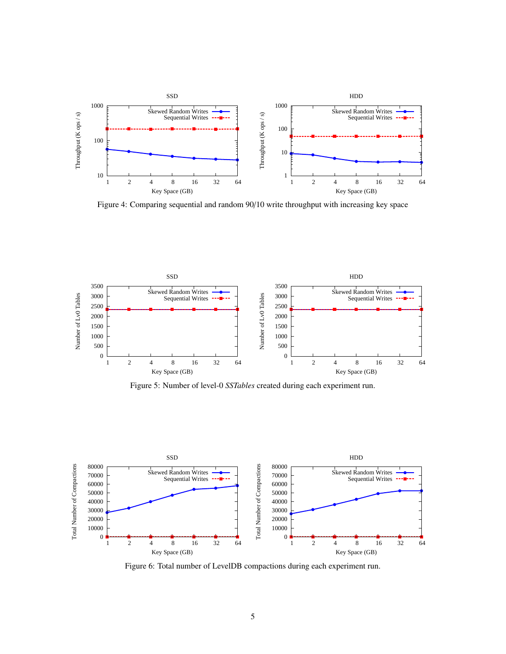<span id="page-4-0"></span>

Figure 4: Comparing sequential and random 90/10 write throughput with increasing key space

<span id="page-4-1"></span>

Figure 5: Number of level-0 *SSTables* created during each experiment run.

<span id="page-4-2"></span>

Figure 6: Total number of LevelDB compactions during each experiment run.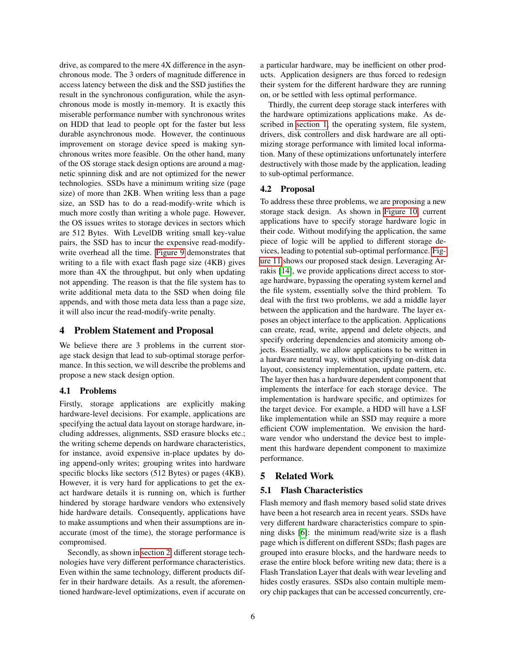drive, as compared to the mere 4X difference in the asynchronous mode. The 3 orders of magnitude difference in access latency between the disk and the SSD justifies the result in the synchronous configuration, while the asynchronous mode is mostly in-memory. It is exactly this miserable performance number with synchronous writes on HDD that lead to people opt for the faster but less durable asynchronous mode. However, the continuous improvement on storage device speed is making synchronous writes more feasible. On the other hand, many of the OS storage stack design options are around a magnetic spinning disk and are not optimized for the newer technologies. SSDs have a minimum writing size (page size) of more than 2KB. When writing less than a page size, an SSD has to do a read-modify-write which is much more costly than writing a whole page. However, the OS issues writes to storage devices in sectors which are 512 Bytes. With LevelDB writing small key-value pairs, the SSD has to incur the expensive read-modifywrite overhead all the time. [Figure 9](#page-6-2) demonstrates that writing to a file with exact flash page size (4KB) gives more than 4X the throughput, but only when updating not appending. The reason is that the file system has to write additional meta data to the SSD when doing file appends, and with those meta data less than a page size, it will also incur the read-modify-write penalty.

#### 4 Problem Statement and Proposal

We believe there are 3 problems in the current storage stack design that lead to sub-optimal storage performance. In this section, we will describe the problems and propose a new stack design option.

### 4.1 Problems

Firstly, storage applications are explicitly making hardware-level decisions. For example, applications are specifying the actual data layout on storage hardware, including addresses, alignments, SSD erasure blocks etc.; the writing scheme depends on hardware characteristics, for instance, avoid expensive in-place updates by doing append-only writes; grouping writes into hardware specific blocks like sectors (512 Bytes) or pages (4KB). However, it is very hard for applications to get the exact hardware details it is running on, which is further hindered by storage hardware vendors who extensively hide hardware details. Consequently, applications have to make assumptions and when their assumptions are inaccurate (most of the time), the storage performance is compromised.

Secondly, as shown in [section 2,](#page-0-0) different storage technologies have very different performance characteristics. Even within the same technology, different products differ in their hardware details. As a result, the aforementioned hardware-level optimizations, even if accurate on a particular hardware, may be inefficient on other products. Application designers are thus forced to redesign their system for the different hardware they are running on, or be settled with less optimal performance.

Thirdly, the current deep storage stack interferes with the hardware optimizations applications make. As described in [section 1,](#page-0-1) the operating system, file system, drivers, disk controllers and disk hardware are all optimizing storage performance with limited local information. Many of these optimizations unfortunately interfere destructively with those made by the application, leading to sub-optimal performance.

#### 4.2 Proposal

To address these three problems, we are proposing a new storage stack design. As shown in [Figure 10,](#page-7-0) current applications have to specify storage hardware logic in their code. Without modifying the application, the same piece of logic will be applied to different storage devices, leading to potential sub-optimal performance. [Fig](#page-7-1)[ure 11](#page-7-1) shows our proposed stack design. Leveraging Arrakis [\[14\]](#page-8-3), we provide applications direct access to storage hardware, bypassing the operating system kernel and the file system, essentially solve the third problem. To deal with the first two problems, we add a middle layer between the application and the hardware. The layer exposes an object interface to the application. Applications can create, read, write, append and delete objects, and specify ordering dependencies and atomicity among objects. Essentially, we allow applications to be written in a hardware neutral way, without specifying on-disk data layout, consistency implementation, update pattern, etc. The layer then has a hardware dependent component that implements the interface for each storage device. The implementation is hardware specific, and optimizes for the target device. For example, a HDD will have a LSF like implementation while an SSD may require a more efficient COW implementation. We envision the hardware vendor who understand the device best to implement this hardware dependent component to maximize performance.

## 5 Related Work

#### 5.1 Flash Characteristics

Flash memory and flash memory based solid state drives have been a hot research area in recent years. SSDs have very different hardware characteristics compare to spinning disks [\[6\]](#page-8-4): the minimum read/write size is a flash page which is different on different SSDs; flash pages are grouped into erasure blocks, and the hardware needs to erase the entire block before writing new data; there is a Flash Translation Layer that deals with wear leveling and hides costly erasures. SSDs also contain multiple memory chip packages that can be accessed concurrently, cre-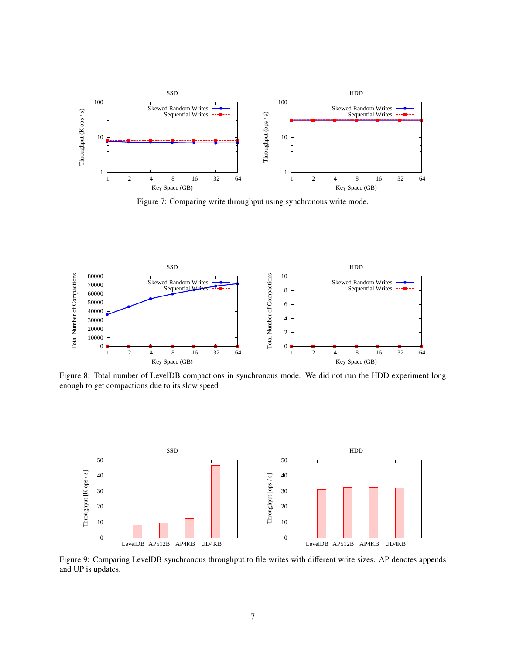<span id="page-6-0"></span>

Figure 7: Comparing write throughput using synchronous write mode.

<span id="page-6-1"></span>

Figure 8: Total number of LevelDB compactions in synchronous mode. We did not run the HDD experiment long enough to get compactions due to its slow speed

<span id="page-6-2"></span>

Figure 9: Comparing LevelDB synchronous throughput to file writes with different write sizes. AP denotes appends and UP is updates.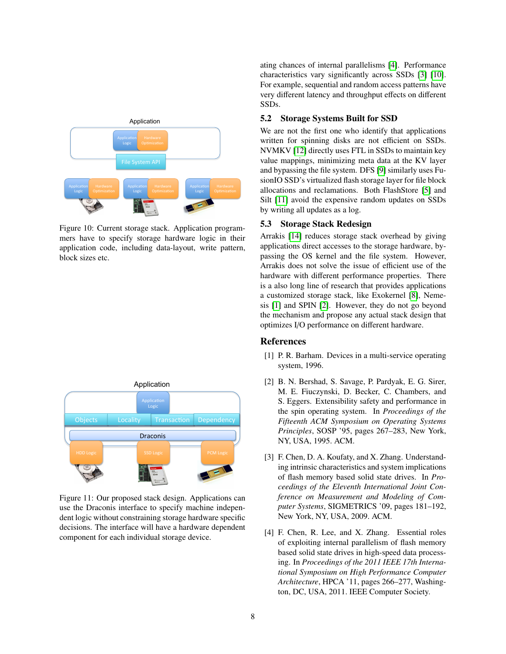<span id="page-7-0"></span>

Figure 10: Current storage stack. Application programmers have to specify storage hardware logic in their application code, including data-layout, write pattern, block sizes etc.

<span id="page-7-1"></span>

Figure 11: Our proposed stack design. Applications can use the Draconis interface to specify machine independent logic without constraining storage hardware specific decisions. The interface will have a hardware dependent component for each individual storage device.

ating chances of internal parallelisms [\[4\]](#page-7-2). Performance characteristics vary significantly across SSDs [\[3\]](#page-7-3) [\[10\]](#page-8-5). For example, sequential and random access patterns have very different latency and throughput effects on different SSDs.

# 5.2 Storage Systems Built for SSD

We are not the first one who identify that applications written for spinning disks are not efficient on SSDs. NVMKV [\[12\]](#page-8-6) directly uses FTL in SSDs to maintain key value mappings, minimizing meta data at the KV layer and bypassing the file system. DFS [\[9\]](#page-8-7) similarly uses FusionIO SSD's virtualized flash storage layer for file block allocations and reclamations. Both FlashStore [\[5\]](#page-8-8) and Silt [\[11\]](#page-8-9) avoid the expensive random updates on SSDs by writing all updates as a log.

## 5.3 Storage Stack Redesign

Arrakis [\[14\]](#page-8-3) reduces storage stack overhead by giving applications direct accesses to the storage hardware, bypassing the OS kernel and the file system. However, Arrakis does not solve the issue of efficient use of the hardware with different performance properties. There is a also long line of research that provides applications a customized storage stack, like Exokernel [\[8\]](#page-8-10), Nemesis [\[1\]](#page-7-4) and SPIN [\[2\]](#page-7-5). However, they do not go beyond the mechanism and propose any actual stack design that optimizes I/O performance on different hardware.

## <span id="page-7-4"></span>References

- [1] P. R. Barham. Devices in a multi-service operating system, 1996.
- <span id="page-7-5"></span>[2] B. N. Bershad, S. Savage, P. Pardyak, E. G. Sirer, M. E. Fiuczynski, D. Becker, C. Chambers, and S. Eggers. Extensibility safety and performance in the spin operating system. In *Proceedings of the Fifteenth ACM Symposium on Operating Systems Principles*, SOSP '95, pages 267–283, New York, NY, USA, 1995. ACM.
- <span id="page-7-3"></span>[3] F. Chen, D. A. Koufaty, and X. Zhang. Understanding intrinsic characteristics and system implications of flash memory based solid state drives. In *Proceedings of the Eleventh International Joint Conference on Measurement and Modeling of Computer Systems*, SIGMETRICS '09, pages 181–192, New York, NY, USA, 2009. ACM.
- <span id="page-7-2"></span>[4] F. Chen, R. Lee, and X. Zhang. Essential roles of exploiting internal parallelism of flash memory based solid state drives in high-speed data processing. In *Proceedings of the 2011 IEEE 17th International Symposium on High Performance Computer Architecture*, HPCA '11, pages 266–277, Washington, DC, USA, 2011. IEEE Computer Society.